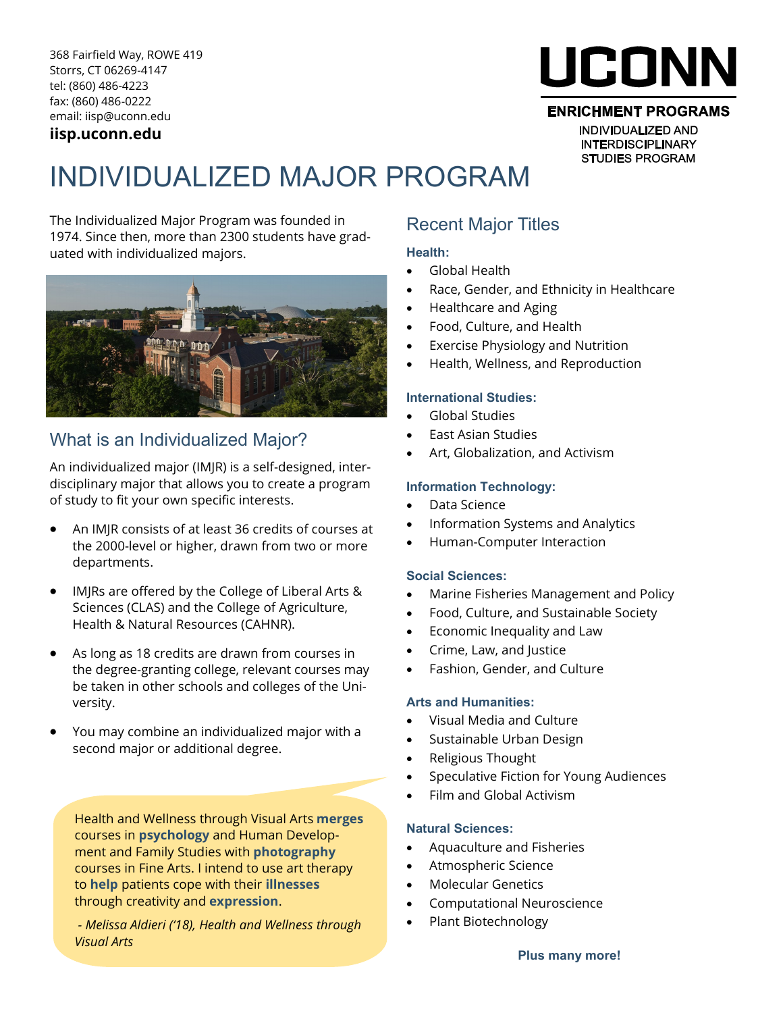368 Fairfield Way, ROWE 419 Storrs, CT 06269-4147 tel: (860) 486-4223 fax: (860) 486-0222 email: iisp@uconn.edu **iisp.uconn.edu**

# UCONN

**ENRICHMENT PROGRAMS** 

**INDIVIDUALIZED AND INTERDISCIPLINARY STUDIES PROGRAM** 

# INDIVIDUALIZED MAJOR PROGRAM

The Individualized Major Program was founded in 1974. Since then, more than 2300 students have graduated with individualized majors.



# What is an Individualized Major?

An individualized major (IMJR) is a self-designed, interdisciplinary major that allows you to create a program of study to fit your own specific interests.

- An IMJR consists of at least 36 credits of courses at the 2000-level or higher, drawn from two or more departments.
- IMJRs are offered by the College of Liberal Arts & Sciences (CLAS) and the College of Agriculture, Health & Natural Resources (CAHNR).
- As long as 18 credits are drawn from courses in the degree-granting college, relevant courses may be taken in other schools and colleges of the University.
- You may combine an individualized major with a second major or additional degree.

Health and Wellness through Visual Arts **merges** courses in **psychology** and Human Development and Family Studies with **photography** courses in Fine Arts. I intend to use art therapy to **help** patients cope with their **illnesses** through creativity and **expression**.

*- Melissa Aldieri ('18), Health and Wellness through Visual Arts*

# Recent Major Titles

#### **Health:**

- Global Health
- Race, Gender, and Ethnicity in Healthcare
- Healthcare and Aging
- Food, Culture, and Health
- Exercise Physiology and Nutrition
- Health, Wellness, and Reproduction

#### **International Studies:**

- Global Studies
- East Asian Studies
- Art, Globalization, and Activism

#### **Information Technology:**

- Data Science
- Information Systems and Analytics
- Human-Computer Interaction

#### **Social Sciences:**

- Marine Fisheries Management and Policy
- Food, Culture, and Sustainable Society
- Economic Inequality and Law
- Crime, Law, and Justice
- Fashion, Gender, and Culture

#### **Arts and Humanities:**

- Visual Media and Culture
- Sustainable Urban Design
- Religious Thought
- Speculative Fiction for Young Audiences
- Film and Global Activism

#### **Natural Sciences:**

- Aquaculture and Fisheries
- Atmospheric Science
- Molecular Genetics
- Computational Neuroscience
- Plant Biotechnology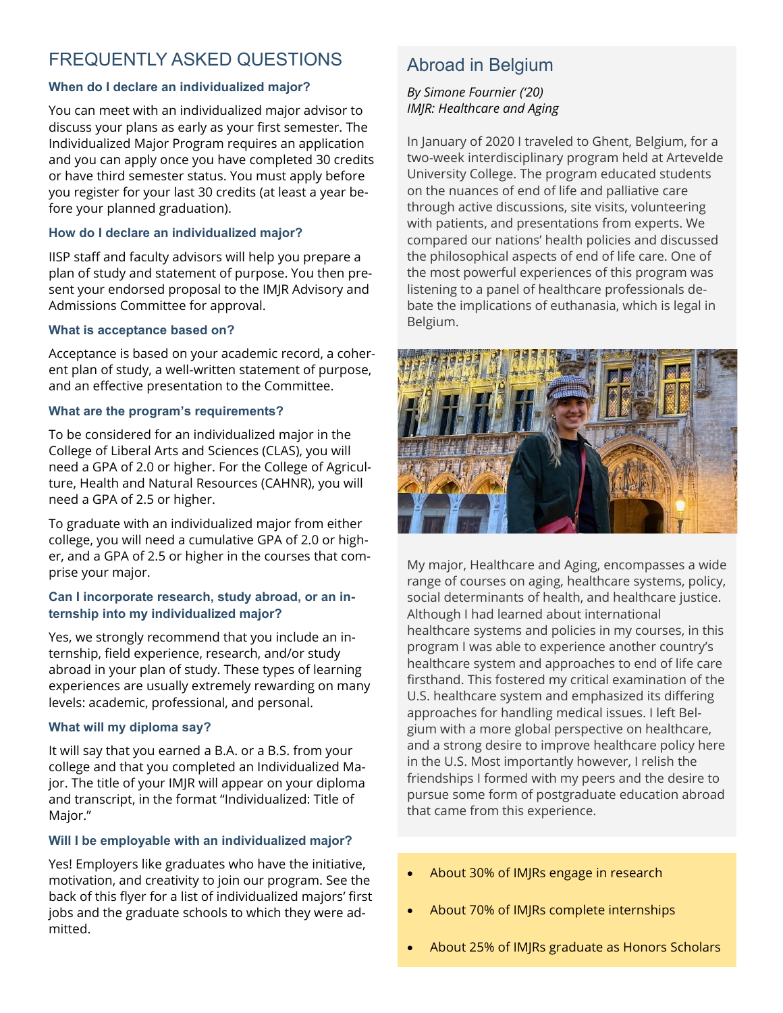# FREQUENTLY ASKED QUESTIONS

#### **When do I declare an individualized major?**

You can meet with an individualized major advisor to discuss your plans as early as your first semester. The Individualized Major Program requires an application and you can apply once you have completed 30 credits or have third semester status. You must apply before you register for your last 30 credits (at least a year before your planned graduation).

#### **How do I declare an individualized major?**

IISP staff and faculty advisors will help you prepare a plan of study and statement of purpose. You then present your endorsed proposal to the IMJR Advisory and Admissions Committee for approval.

#### **What is acceptance based on?**

Acceptance is based on your academic record, a coherent plan of study, a well-written statement of purpose, and an effective presentation to the Committee.

#### **What are the program's requirements?**

To be considered for an individualized major in the College of Liberal Arts and Sciences (CLAS), you will need a GPA of 2.0 or higher. For the College of Agriculture, Health and Natural Resources (CAHNR), you will need a GPA of 2.5 or higher.

To graduate with an individualized major from either college, you will need a cumulative GPA of 2.0 or higher, and a GPA of 2.5 or higher in the courses that comprise your major.

#### **Can I incorporate research, study abroad, or an internship into my individualized major?**

Yes, we strongly recommend that you include an internship, field experience, research, and/or study abroad in your plan of study. These types of learning experiences are usually extremely rewarding on many levels: academic, professional, and personal.

#### **What will my diploma say?**

It will say that you earned a B.A. or a B.S. from your college and that you completed an Individualized Major. The title of your IMJR will appear on your diploma and transcript, in the format "Individualized: Title of Major."

#### **Will I be employable with an individualized major?**

Yes! Employers like graduates who have the initiative, motivation, and creativity to join our program. See the back of this flyer for a list of individualized majors' first jobs and the graduate schools to which they were admitted.

# Abroad in Belgium

*By Simone Fournier ('20) IMJR: Healthcare and Aging*

In January of 2020 I traveled to Ghent, Belgium, for a two-week interdisciplinary program held at Artevelde University College. The program educated students on the nuances of end of life and palliative care through active discussions, site visits, volunteering with patients, and presentations from experts. We compared our nations' health policies and discussed the philosophical aspects of end of life care. One of the most powerful experiences of this program was listening to a panel of healthcare professionals debate the implications of euthanasia, which is legal in Belgium.



My major, Healthcare and Aging, encompasses a wide range of courses on aging, healthcare systems, policy, social determinants of health, and healthcare justice. Although I had learned about international healthcare systems and policies in my courses, in this program I was able to experience another country's healthcare system and approaches to end of life care firsthand. This fostered my critical examination of the U.S. healthcare system and emphasized its differing approaches for handling medical issues. I left Belgium with a more global perspective on healthcare, and a strong desire to improve healthcare policy here in the U.S. Most importantly however, I relish the friendships I formed with my peers and the desire to pursue some form of postgraduate education abroad that came from this experience.

- About 30% of IMJRs engage in research
- About 70% of IMJRs complete internships
- About 25% of IMJRs graduate as Honors Scholars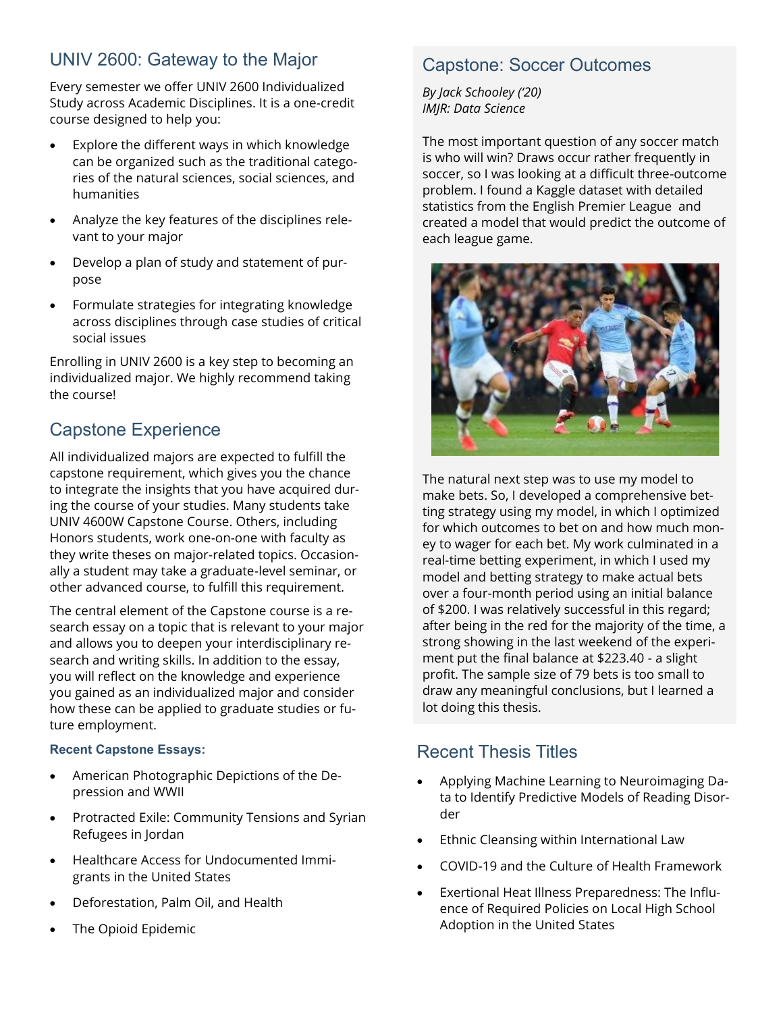# UNIV 2600: Gateway to the Major

Every semester we offer UNIV 2600 Individualized Study across Academic Disciplines. It is a one-credit course designed to help you:

- Explore the different ways in which knowledge can be organized such as the traditional categories of the natural sciences, social sciences, and humanities
- Analyze the key features of the disciplines relevant to your major
- Develop a plan of study and statement of purpose
- Formulate strategies for integrating knowledge across disciplines through case studies of critical social issues

Enrolling in UNIV 2600 is a key step to becoming an individualized major. We highly recommend taking the course!

### Capstone Experience

All individualized majors are expected to fulfill the capstone requirement, which gives you the chance to integrate the insights that you have acquired during the course of your studies. Many students take UNIV 4600W Capstone Course. Others, including Honors students, work one-on-one with faculty as they write theses on major-related topics. Occasionally a student may take a graduate-level seminar, or other advanced course, to fulfill this requirement.

The central element of the Capstone course is a research essay on a topic that is relevant to your major and allows you to deepen your interdisciplinary research and writing skills. In addition to the essay, you will reflect on the knowledge and experience you gained as an individualized major and consider how these can be applied to graduate studies or future employment.

#### **Recent Capstone Essays:**

- American Photographic Depictions of the Depression and WWII
- Protracted Exile: Community Tensions and Syrian Refugees in Jordan
- Healthcare Access for Undocumented Immigrants in the United States
- Deforestation, Palm Oil, and Health
- The Opioid Epidemic

# Capstone: Soccer Outcomes

*By Jack Schooley ('20) IMJR: Data Science*

The most important question of any soccer match is who will win? Draws occur rather frequently in soccer, so I was looking at a difficult three-outcome problem. I found a Kaggle dataset with detailed statistics from the English Premier League and created a model that would predict the outcome of each league game.



The natural next step was to use my model to make bets. So, I developed a comprehensive betting strategy using my model, in which I optimized for which outcomes to bet on and how much money to wager for each bet. My work culminated in a real-time betting experiment, in which I used my model and betting strategy to make actual bets over a four-month period using an initial balance of \$200. I was relatively successful in this regard; after being in the red for the majority of the time, a strong showing in the last weekend of the experiment put the final balance at \$223.40 - a slight profit. The sample size of 79 bets is too small to draw any meaningful conclusions, but I learned a lot doing this thesis.

# Recent Thesis Titles

- Applying Machine Learning to Neuroimaging Data to Identify Predictive Models of Reading Disorder
- Ethnic Cleansing within International Law
- COVID-19 and the Culture of Health Framework
- Exertional Heat Illness Preparedness: The Influence of Required Policies on Local High School Adoption in the United States